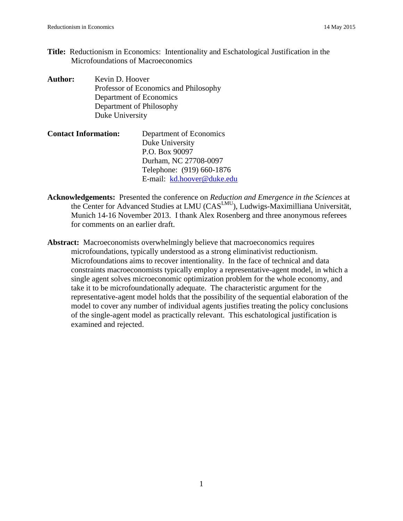- **Title:** Reductionism in Economics: Intentionality and Eschatological Justification in the Microfoundations of Macroeconomics
- **Author:** Kevin D. Hoover Professor of Economics and Philosophy Department of Economics Department of Philosophy Duke University
- **Contact Information:** Department of Economics Duke University P.O. Box 90097 Durham, NC 27708-0097 Telephone: (919) 660-1876 E-mail: [kd.hoover@duke.edu](mailto:kd.hoover@duke.edu)
- **Acknowledgements:** Presented the conference on *Reduction and Emergence in the Sciences* at the Center for Advanced Studies at LMU (CASLMU), Ludwigs-Maximilliana Universität, Munich 14-16 November 2013. I thank Alex Rosenberg and three anonymous referees for comments on an earlier draft.
- **Abstract:** Macroeconomists overwhelmingly believe that macroeconomics requires microfoundations, typically understood as a strong eliminativist reductionism. Microfoundations aims to recover intentionality. In the face of technical and data constraints macroeconomists typically employ a representative-agent model, in which a single agent solves microeconomic optimization problem for the whole economy, and take it to be microfoundationally adequate. The characteristic argument for the representative-agent model holds that the possibility of the sequential elaboration of the model to cover any number of individual agents justifies treating the policy conclusions of the single-agent model as practically relevant. This eschatological justification is examined and rejected.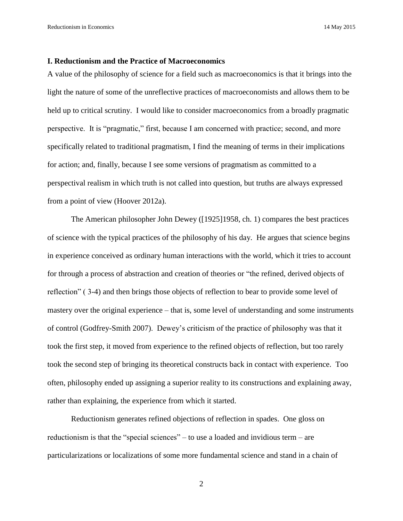#### **I. Reductionism and the Practice of Macroeconomics**

A value of the philosophy of science for a field such as macroeconomics is that it brings into the light the nature of some of the unreflective practices of macroeconomists and allows them to be held up to critical scrutiny. I would like to consider macroeconomics from a broadly pragmatic perspective. It is "pragmatic," first, because I am concerned with practice; second, and more specifically related to traditional pragmatism, I find the meaning of terms in their implications for action; and, finally, because I see some versions of pragmatism as committed to a perspectival realism in which truth is not called into question, but truths are always expressed from a point of view (Hoover 2012a).

The American philosopher John Dewey ([1925]1958, ch. 1) compares the best practices of science with the typical practices of the philosophy of his day. He argues that science begins in experience conceived as ordinary human interactions with the world, which it tries to account for through a process of abstraction and creation of theories or "the refined, derived objects of reflection" ( 3-4) and then brings those objects of reflection to bear to provide some level of mastery over the original experience – that is, some level of understanding and some instruments of control (Godfrey-Smith 2007). Dewey's criticism of the practice of philosophy was that it took the first step, it moved from experience to the refined objects of reflection, but too rarely took the second step of bringing its theoretical constructs back in contact with experience. Too often, philosophy ended up assigning a superior reality to its constructions and explaining away, rather than explaining, the experience from which it started.

Reductionism generates refined objections of reflection in spades. One gloss on reductionism is that the "special sciences" – to use a loaded and invidious term – are particularizations or localizations of some more fundamental science and stand in a chain of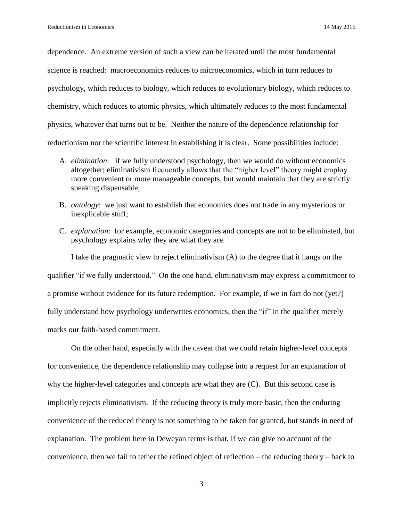dependence. An extreme version of such a view can be iterated until the most fundamental science is reached: macroeconomics reduces to microeconomics, which in turn reduces to psychology, which reduces to biology, which reduces to evolutionary biology, which reduces to chemistry, which reduces to atomic physics, which ultimately reduces to the most fundamental physics, whatever that turns out to be. Neither the nature of the dependence relationship for reductionism nor the scientific interest in establishing it is clear. Some possibilities include:

- A. *elimination*: if we fully understood psychology, then we would do without economics altogether; eliminativism frequently allows that the "higher level" theory might employ more convenient or more manageable concepts, but would maintain that they are strictly speaking dispensable;
- B. *ontology*: we just want to establish that economics does not trade in any mysterious or inexplicable stuff;
- C. *explanation*: for example, economic categories and concepts are not to be eliminated, but psychology explains why they are what they are.

I take the pragmatic view to reject eliminativism (A) to the degree that it hangs on the

qualifier "if we fully understood." On the one hand, eliminativism may express a commitment to a promise without evidence for its future redemption. For example, if we in fact do not (yet?) fully understand how psychology underwrites economics, then the "if" in the qualifier merely marks our faith-based commitment.

On the other hand, especially with the caveat that we could retain higher-level concepts for convenience, the dependence relationship may collapse into a request for an explanation of why the higher-level categories and concepts are what they are (C). But this second case is implicitly rejects eliminativism. If the reducing theory is truly more basic, then the enduring convenience of the reduced theory is not something to be taken for granted, but stands in need of explanation. The problem here in Deweyan terms is that, if we can give no account of the convenience, then we fail to tether the refined object of reflection – the reducing theory – back to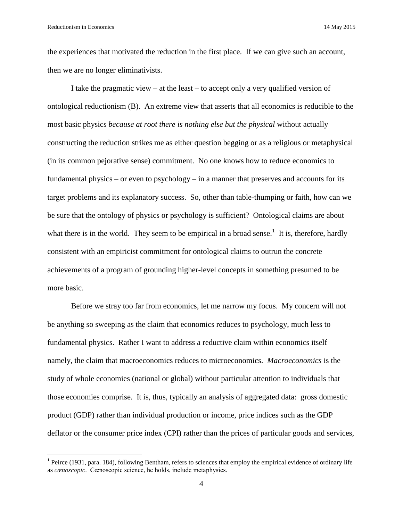$\overline{a}$ 

the experiences that motivated the reduction in the first place. If we can give such an account, then we are no longer eliminativists.

I take the pragmatic view – at the least – to accept only a very qualified version of ontological reductionism (B). An extreme view that asserts that all economics is reducible to the most basic physics *because at root there is nothing else but the physical* without actually constructing the reduction strikes me as either question begging or as a religious or metaphysical (in its common pejorative sense) commitment. No one knows how to reduce economics to fundamental physics – or even to psychology – in a manner that preserves and accounts for its target problems and its explanatory success. So, other than table-thumping or faith, how can we be sure that the ontology of physics or psychology is sufficient? Ontological claims are about what there is in the world. They seem to be empirical in a broad sense.<sup>1</sup> It is, therefore, hardly consistent with an empiricist commitment for ontological claims to outrun the concrete achievements of a program of grounding higher-level concepts in something presumed to be more basic.

Before we stray too far from economics, let me narrow my focus. My concern will not be anything so sweeping as the claim that economics reduces to psychology, much less to fundamental physics. Rather I want to address a reductive claim within economics itself – namely, the claim that macroeconomics reduces to microeconomics. *Macroeconomics* is the study of whole economies (national or global) without particular attention to individuals that those economies comprise. It is, thus, typically an analysis of aggregated data: gross domestic product (GDP) rather than individual production or income, price indices such as the GDP deflator or the consumer price index (CPI) rather than the prices of particular goods and services,

<sup>&</sup>lt;sup>1</sup> Peirce (1931, para. 184), following Bentham, refers to sciences that employ the empirical evidence of ordinary life as *cœnoscopic*. Cœnoscopic science, he holds, include metaphysics.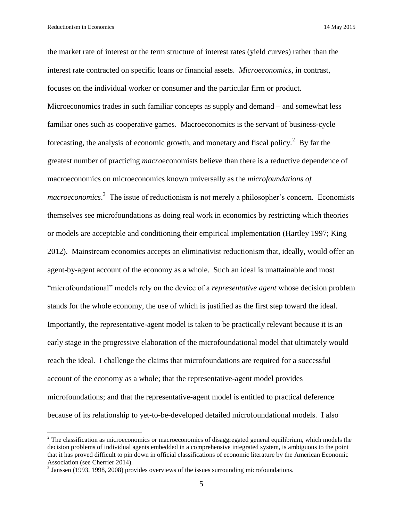$\overline{a}$ 

the market rate of interest or the term structure of interest rates (yield curves) rather than the interest rate contracted on specific loans or financial assets. *Microeconomics*, in contrast, focuses on the individual worker or consumer and the particular firm or product. Microeconomics trades in such familiar concepts as supply and demand – and somewhat less familiar ones such as cooperative games. Macroeconomics is the servant of business-cycle forecasting, the analysis of economic growth, and monetary and fiscal policy. $2$  By far the greatest number of practicing *macro*economists believe than there is a reductive dependence of macroeconomics on microeconomics known universally as the *microfoundations of macroeconomics*.<sup>3</sup> The issue of reductionism is not merely a philosopher's concern. Economists themselves see microfoundations as doing real work in economics by restricting which theories or models are acceptable and conditioning their empirical implementation (Hartley 1997; King 2012). Mainstream economics accepts an eliminativist reductionism that, ideally, would offer an agent-by-agent account of the economy as a whole. Such an ideal is unattainable and most "microfoundational" models rely on the device of a *representative agent* whose decision problem stands for the whole economy, the use of which is justified as the first step toward the ideal. Importantly, the representative-agent model is taken to be practically relevant because it is an early stage in the progressive elaboration of the microfoundational model that ultimately would reach the ideal. I challenge the claims that microfoundations are required for a successful account of the economy as a whole; that the representative-agent model provides microfoundations; and that the representative-agent model is entitled to practical deference because of its relationship to yet-to-be-developed detailed microfoundational models. I also

 $2^2$  The classification as microeconomics or macroeconomics of disaggregated general equilibrium, which models the decision problems of individual agents embedded in a comprehensive integrated system, is ambiguous to the point that it has proved difficult to pin down in official classifications of economic literature by the American Economic Association (see Cherrier 2014).

 $3$  Janssen (1993, 1998, 2008) provides overviews of the issues surrounding microfoundations.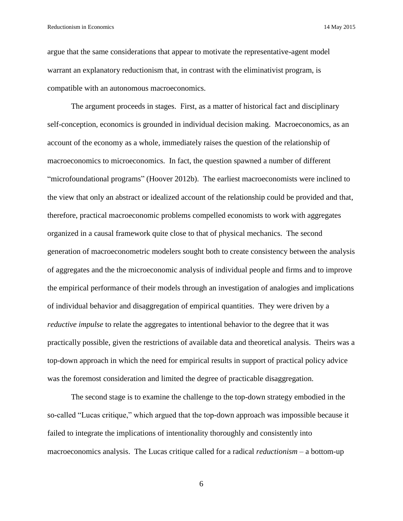argue that the same considerations that appear to motivate the representative-agent model warrant an explanatory reductionism that, in contrast with the eliminativist program, is compatible with an autonomous macroeconomics.

The argument proceeds in stages. First, as a matter of historical fact and disciplinary self-conception, economics is grounded in individual decision making. Macroeconomics, as an account of the economy as a whole, immediately raises the question of the relationship of macroeconomics to microeconomics. In fact, the question spawned a number of different "microfoundational programs" (Hoover 2012b). The earliest macroeconomists were inclined to the view that only an abstract or idealized account of the relationship could be provided and that, therefore, practical macroeconomic problems compelled economists to work with aggregates organized in a causal framework quite close to that of physical mechanics. The second generation of macroeconometric modelers sought both to create consistency between the analysis of aggregates and the the microeconomic analysis of individual people and firms and to improve the empirical performance of their models through an investigation of analogies and implications of individual behavior and disaggregation of empirical quantities. They were driven by a *reductive impulse* to relate the aggregates to intentional behavior to the degree that it was practically possible, given the restrictions of available data and theoretical analysis. Theirs was a top-down approach in which the need for empirical results in support of practical policy advice was the foremost consideration and limited the degree of practicable disaggregation.

The second stage is to examine the challenge to the top-down strategy embodied in the so-called "Lucas critique," which argued that the top-down approach was impossible because it failed to integrate the implications of intentionality thoroughly and consistently into macroeconomics analysis. The Lucas critique called for a radical *reductionism* – a bottom-up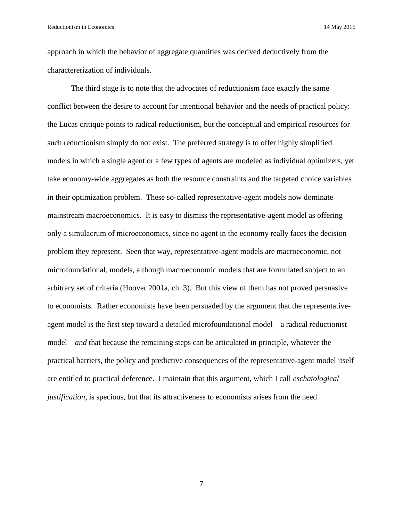approach in which the behavior of aggregate quantities was derived deductively from the charactererization of individuals.

The third stage is to note that the advocates of reductionism face exactly the same conflict between the desire to account for intentional behavior and the needs of practical policy: the Lucas critique points to radical reductionism, but the conceptual and empirical resources for such reductionism simply do not exist. The preferred strategy is to offer highly simplified models in which a single agent or a few types of agents are modeled as individual optimizers, yet take economy-wide aggregates as both the resource constraints and the targeted choice variables in their optimization problem. These so-called representative-agent models now dominate mainstream macroeconomics. It is easy to dismiss the representative-agent model as offering only a simulacrum of microeconomics, since no agent in the economy really faces the decision problem they represent. Seen that way, representative-agent models are macroeconomic, not microfoundational, models, although macroeconomic models that are formulated subject to an arbitrary set of criteria (Hoover 2001a, ch. 3). But this view of them has not proved persuasive to economists. Rather economists have been persuaded by the argument that the representativeagent model is the first step toward a detailed microfoundational model – a radical reductionist model – *and* that because the remaining steps can be articulated in principle, whatever the practical barriers, the policy and predictive consequences of the representative-agent model itself are entitled to practical deference. I maintain that this argument, which I call *eschatological justification*, is specious, but that its attractiveness to economists arises from the need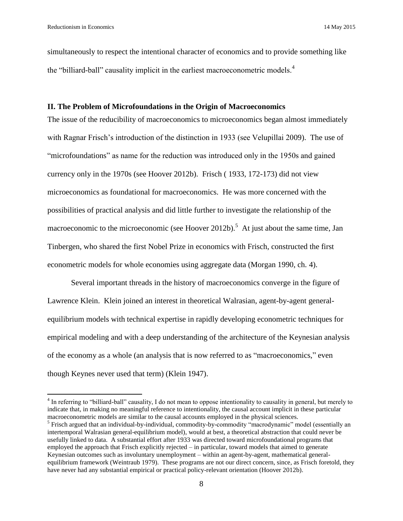simultaneously to respect the intentional character of economics and to provide something like the "billiard-ball" causality implicit in the earliest macroeconometric models.<sup>4</sup>

#### **II. The Problem of Microfoundations in the Origin of Macroeconomics**

The issue of the reducibility of macroeconomics to microeconomics began almost immediately with Ragnar Frisch's introduction of the distinction in 1933 (see Velupillai 2009). The use of "microfoundations" as name for the reduction was introduced only in the 1950s and gained currency only in the 1970s (see Hoover 2012b). Frisch ( 1933, 172-173) did not view microeconomics as foundational for macroeconomics. He was more concerned with the possibilities of practical analysis and did little further to investigate the relationship of the macroeconomic to the microeconomic (see Hoover 2012b).<sup>5</sup> At just about the same time, Jan Tinbergen, who shared the first Nobel Prize in economics with Frisch, constructed the first econometric models for whole economies using aggregate data (Morgan 1990, ch. 4).

Several important threads in the history of macroeconomics converge in the figure of Lawrence Klein. Klein joined an interest in theoretical Walrasian, agent-by-agent generalequilibrium models with technical expertise in rapidly developing econometric techniques for empirical modeling and with a deep understanding of the architecture of the Keynesian analysis of the economy as a whole (an analysis that is now referred to as "macroeconomics," even though Keynes never used that term) (Klein 1947).

<sup>&</sup>lt;sup>4</sup> In referring to "billiard-ball" causality, I do not mean to oppose intentionality to causality in general, but merely to indicate that, in making no meaningful reference to intentionality, the causal account implicit in these particular macroeconometric models are similar to the causal accounts employed in the physical sciences.

<sup>&</sup>lt;sup>5</sup> Frisch argued that an individual-by-individual, commodity-by-commodity "macrodynamic" model (essentially an intertemporal Walrasian general-equilibrium model), would at best, a theoretical abstraction that could never be usefully linked to data. A substantial effort after 1933 was directed toward microfoundational programs that employed the approach that Frisch explicitly rejected – in particular, toward models that aimed to generate Keynesian outcomes such as involuntary unemployment – within an agent-by-agent, mathematical generalequilibrium framework (Weintraub 1979). These programs are not our direct concern, since, as Frisch foretold, they have never had any substantial empirical or practical policy-relevant orientation (Hoover 2012b).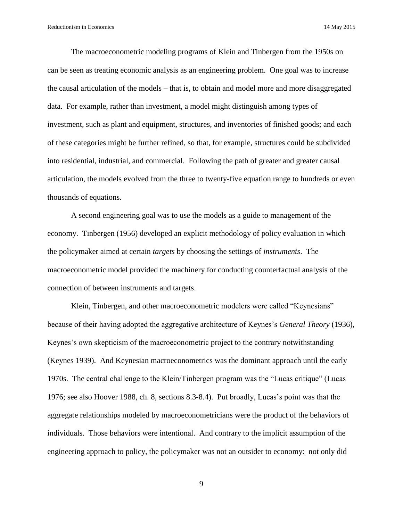The macroeconometric modeling programs of Klein and Tinbergen from the 1950s on can be seen as treating economic analysis as an engineering problem. One goal was to increase the causal articulation of the models – that is, to obtain and model more and more disaggregated data. For example, rather than investment, a model might distinguish among types of investment, such as plant and equipment, structures, and inventories of finished goods; and each of these categories might be further refined, so that, for example, structures could be subdivided into residential, industrial, and commercial. Following the path of greater and greater causal articulation, the models evolved from the three to twenty-five equation range to hundreds or even thousands of equations.

A second engineering goal was to use the models as a guide to management of the economy. Tinbergen (1956) developed an explicit methodology of policy evaluation in which the policymaker aimed at certain *targets* by choosing the settings of *instruments*. The macroeconometric model provided the machinery for conducting counterfactual analysis of the connection of between instruments and targets.

Klein, Tinbergen, and other macroeconometric modelers were called "Keynesians" because of their having adopted the aggregative architecture of Keynes's *General Theory* (1936), Keynes's own skepticism of the macroeconometric project to the contrary notwithstanding (Keynes 1939). And Keynesian macroeconometrics was the dominant approach until the early 1970s. The central challenge to the Klein/Tinbergen program was the "Lucas critique" (Lucas 1976; see also Hoover 1988, ch. 8, sections 8.3-8.4). Put broadly, Lucas's point was that the aggregate relationships modeled by macroeconometricians were the product of the behaviors of individuals. Those behaviors were intentional. And contrary to the implicit assumption of the engineering approach to policy, the policymaker was not an outsider to economy: not only did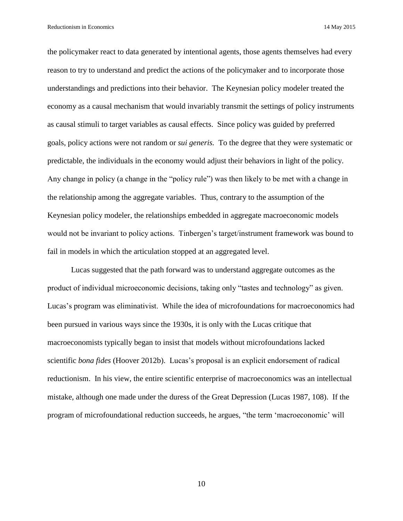the policymaker react to data generated by intentional agents, those agents themselves had every reason to try to understand and predict the actions of the policymaker and to incorporate those understandings and predictions into their behavior. The Keynesian policy modeler treated the economy as a causal mechanism that would invariably transmit the settings of policy instruments as causal stimuli to target variables as causal effects. Since policy was guided by preferred goals, policy actions were not random or *sui generis.* To the degree that they were systematic or predictable, the individuals in the economy would adjust their behaviors in light of the policy. Any change in policy (a change in the "policy rule") was then likely to be met with a change in the relationship among the aggregate variables. Thus, contrary to the assumption of the Keynesian policy modeler, the relationships embedded in aggregate macroeconomic models would not be invariant to policy actions. Tinbergen's target/instrument framework was bound to fail in models in which the articulation stopped at an aggregated level.

Lucas suggested that the path forward was to understand aggregate outcomes as the product of individual microeconomic decisions, taking only "tastes and technology" as given. Lucas's program was eliminativist. While the idea of microfoundations for macroeconomics had been pursued in various ways since the 1930s, it is only with the Lucas critique that macroeconomists typically began to insist that models without microfoundations lacked scientific *bona fides* (Hoover 2012b). Lucas's proposal is an explicit endorsement of radical reductionism. In his view, the entire scientific enterprise of macroeconomics was an intellectual mistake, although one made under the duress of the Great Depression (Lucas 1987, 108). If the program of microfoundational reduction succeeds, he argues, "the term 'macroeconomic' will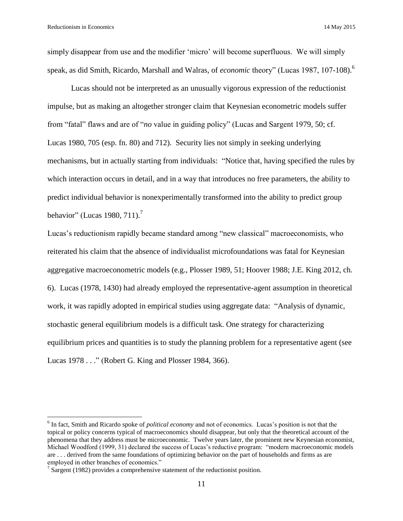$\overline{a}$ 

simply disappear from use and the modifier 'micro' will become superfluous. We will simply speak, as did Smith, Ricardo, Marshall and Walras, of *economic* theory" (Lucas 1987, 107-108).<sup>6</sup>

Lucas should not be interpreted as an unusually vigorous expression of the reductionist impulse, but as making an altogether stronger claim that Keynesian econometric models suffer from "fatal" flaws and are of "*no* value in guiding policy" (Lucas and Sargent 1979, 50; cf. Lucas 1980, 705 (esp. fn. 80) and 712). Security lies not simply in seeking underlying mechanisms, but in actually starting from individuals: "Notice that, having specified the rules by which interaction occurs in detail, and in a way that introduces no free parameters, the ability to predict individual behavior is nonexperimentally transformed into the ability to predict group behavior" (Lucas 1980, 711). $^7$ 

Lucas's reductionism rapidly became standard among "new classical" macroeconomists, who reiterated his claim that the absence of individualist microfoundations was fatal for Keynesian aggregative macroeconometric models (e.g., Plosser 1989, 51; Hoover 1988; J.E. King 2012, ch. 6). Lucas (1978, 1430) had already employed the representative-agent assumption in theoretical work, it was rapidly adopted in empirical studies using aggregate data: "Analysis of dynamic, stochastic general equilibrium models is a difficult task. One strategy for characterizing equilibrium prices and quantities is to study the planning problem for a representative agent (see Lucas 1978 . . ." (Robert G. King and Plosser 1984, 366).

<sup>&</sup>lt;sup>6</sup> In fact, Smith and Ricardo spoke of *political economy* and not of economics. Lucas's position is not that the topical or policy concerns typical of macroeconomics should disappear, but only that the theoretical account of the phenomena that they address must be microeconomic. Twelve years later, the prominent new Keynesian economist, Michael Woodford (1999, 31) declared the success of Lucas's reductive program: "modern macroeconomic models are . . . derived from the same foundations of optimizing behavior on the part of households and firms as are employed in other branches of economics."

 $^7$  Sargent (1982) provides a comprehensive statement of the reductionist position.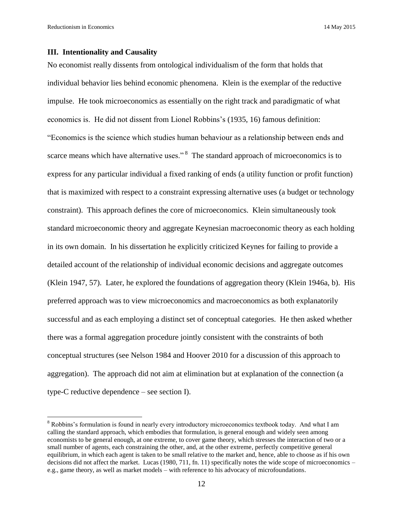$\overline{a}$ 

# **III. Intentionality and Causality**

No economist really dissents from ontological individualism of the form that holds that individual behavior lies behind economic phenomena. Klein is the exemplar of the reductive impulse. He took microeconomics as essentially on the right track and paradigmatic of what economics is. He did not dissent from Lionel Robbins's (1935, 16) famous definition: "Economics is the science which studies human behaviour as a relationship between ends and scarce means which have alternative uses."<sup>8</sup> The standard approach of microeconomics is to express for any particular individual a fixed ranking of ends (a utility function or profit function) that is maximized with respect to a constraint expressing alternative uses (a budget or technology constraint). This approach defines the core of microeconomics. Klein simultaneously took standard microeconomic theory and aggregate Keynesian macroeconomic theory as each holding in its own domain. In his dissertation he explicitly criticized Keynes for failing to provide a detailed account of the relationship of individual economic decisions and aggregate outcomes (Klein 1947, 57). Later, he explored the foundations of aggregation theory (Klein 1946a, b). His preferred approach was to view microeconomics and macroeconomics as both explanatorily successful and as each employing a distinct set of conceptual categories. He then asked whether there was a formal aggregation procedure jointly consistent with the constraints of both conceptual structures (see Nelson 1984 and Hoover 2010 for a discussion of this approach to aggregation). The approach did not aim at elimination but at explanation of the connection (a type-C reductive dependence – see section I).

<sup>8</sup> Robbins's formulation is found in nearly every introductory microeconomics textbook today. And what I am calling the standard approach, which embodies that formulation, is general enough and widely seen among economists to be general enough, at one extreme, to cover game theory, which stresses the interaction of two or a small number of agents, each constraining the other, and, at the other extreme, perfectly competitive general equilibrium, in which each agent is taken to be small relative to the market and, hence, able to choose as if his own decisions did not affect the market. Lucas (1980, 711, fn. 11) specifically notes the wide scope of microeconomics – e.g., game theory, as well as market models – with reference to his advocacy of microfoundations.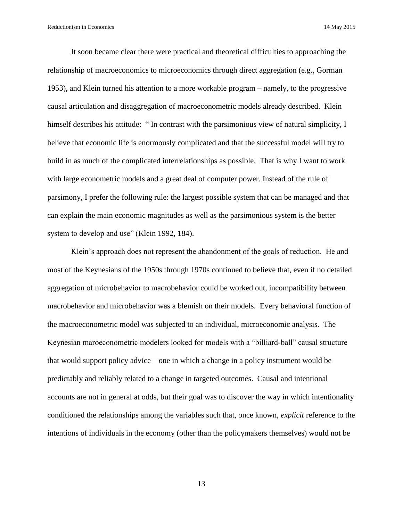It soon became clear there were practical and theoretical difficulties to approaching the relationship of macroeconomics to microeconomics through direct aggregation (e.g., Gorman 1953), and Klein turned his attention to a more workable program – namely, to the progressive causal articulation and disaggregation of macroeconometric models already described. Klein himself describes his attitude: "In contrast with the parsimonious view of natural simplicity, I believe that economic life is enormously complicated and that the successful model will try to build in as much of the complicated interrelationships as possible. That is why I want to work with large econometric models and a great deal of computer power. Instead of the rule of parsimony, I prefer the following rule: the largest possible system that can be managed and that can explain the main economic magnitudes as well as the parsimonious system is the better system to develop and use" (Klein 1992, 184).

Klein's approach does not represent the abandonment of the goals of reduction. He and most of the Keynesians of the 1950s through 1970s continued to believe that, even if no detailed aggregation of microbehavior to macrobehavior could be worked out, incompatibility between macrobehavior and microbehavior was a blemish on their models. Every behavioral function of the macroeconometric model was subjected to an individual, microeconomic analysis. The Keynesian maroeconometric modelers looked for models with a "billiard-ball" causal structure that would support policy advice – one in which a change in a policy instrument would be predictably and reliably related to a change in targeted outcomes. Causal and intentional accounts are not in general at odds, but their goal was to discover the way in which intentionality conditioned the relationships among the variables such that, once known, *explicit* reference to the intentions of individuals in the economy (other than the policymakers themselves) would not be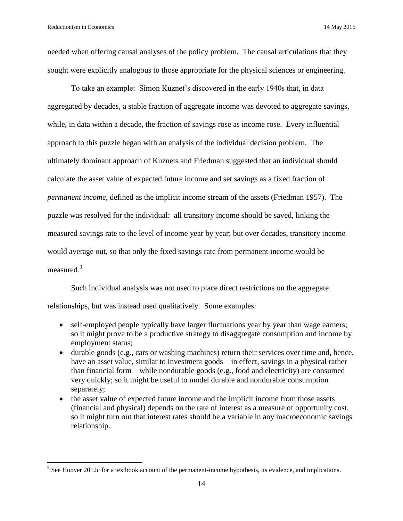needed when offering causal analyses of the policy problem. The causal articulations that they sought were explicitly analogous to those appropriate for the physical sciences or engineering.

To take an example: Simon Kuznet's discovered in the early 1940s that, in data aggregated by decades, a stable fraction of aggregate income was devoted to aggregate savings, while, in data within a decade, the fraction of savings rose as income rose. Every influential approach to this puzzle began with an analysis of the individual decision problem. The ultimately dominant approach of Kuznets and Friedman suggested that an individual should calculate the asset value of expected future income and set savings as a fixed fraction of *permanent income*, defined as the implicit income stream of the assets (Friedman 1957). The puzzle was resolved for the individual: all transitory income should be saved, linking the measured savings rate to the level of income year by year; but over decades, transitory income would average out, so that only the fixed savings rate from permanent income would be measured.<sup>9</sup>

Such individual analysis was not used to place direct restrictions on the aggregate relationships, but was instead used qualitatively. Some examples:

- self-employed people typically have larger fluctuations year by year than wage earners; so it might prove to be a productive strategy to disaggregate consumption and income by employment status;
- durable goods (e.g., cars or washing machines) return their services over time and, hence, have an asset value, similar to investment goods – in effect, savings in a physical rather than financial form – while nondurable goods (e.g., food and electricity) are consumed very quickly; so it might be useful to model durable and nondurable consumption separately;
- the asset value of expected future income and the implicit income from those assets (financial and physical) depends on the rate of interest as a measure of opportunity cost, so it might turn out that interest rates should be a variable in any macroeconomic savings relationship.

 $9^9$  See Hoover 2012c for a textbook account of the permanent-income hypothesis, its evidence, and implications.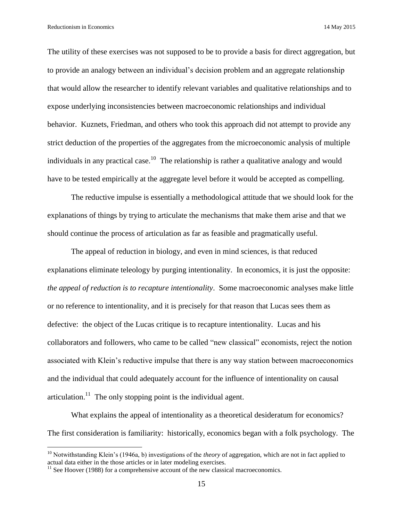$\overline{a}$ 

The utility of these exercises was not supposed to be to provide a basis for direct aggregation, but to provide an analogy between an individual's decision problem and an aggregate relationship that would allow the researcher to identify relevant variables and qualitative relationships and to expose underlying inconsistencies between macroeconomic relationships and individual behavior. Kuznets, Friedman, and others who took this approach did not attempt to provide any strict deduction of the properties of the aggregates from the microeconomic analysis of multiple individuals in any practical case.<sup>10</sup> The relationship is rather a qualitative analogy and would have to be tested empirically at the aggregate level before it would be accepted as compelling.

The reductive impulse is essentially a methodological attitude that we should look for the explanations of things by trying to articulate the mechanisms that make them arise and that we should continue the process of articulation as far as feasible and pragmatically useful.

The appeal of reduction in biology, and even in mind sciences, is that reduced explanations eliminate teleology by purging intentionality. In economics, it is just the opposite: *the appeal of reduction is to recapture intentionality*. Some macroeconomic analyses make little or no reference to intentionality, and it is precisely for that reason that Lucas sees them as defective: the object of the Lucas critique is to recapture intentionality. Lucas and his collaborators and followers, who came to be called "new classical" economists, reject the notion associated with Klein's reductive impulse that there is any way station between macroeconomics and the individual that could adequately account for the influence of intentionality on causal articulation.<sup>11</sup> The only stopping point is the individual agent.

What explains the appeal of intentionality as a theoretical desideratum for economics? The first consideration is familiarity: historically, economics began with a folk psychology. The

<sup>10</sup> Notwithstanding Klein's (1946a, b) investigations of the *theory* of aggregation, which are not in fact applied to actual data either in the those articles or in later modeling exercises.

 $11$  See Hoover (1988) for a comprehensive account of the new classical macroeconomics.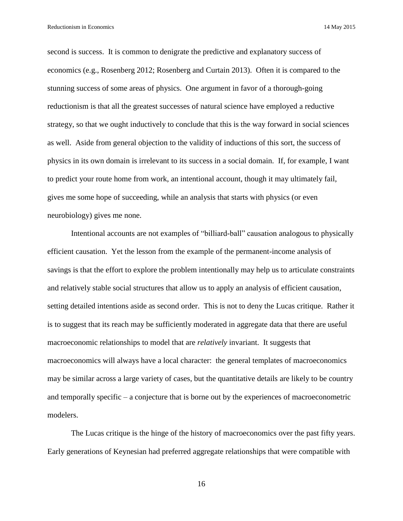second is success. It is common to denigrate the predictive and explanatory success of economics (e.g., Rosenberg 2012; Rosenberg and Curtain 2013). Often it is compared to the stunning success of some areas of physics. One argument in favor of a thorough-going reductionism is that all the greatest successes of natural science have employed a reductive strategy, so that we ought inductively to conclude that this is the way forward in social sciences as well. Aside from general objection to the validity of inductions of this sort, the success of physics in its own domain is irrelevant to its success in a social domain. If, for example, I want to predict your route home from work, an intentional account, though it may ultimately fail, gives me some hope of succeeding, while an analysis that starts with physics (or even neurobiology) gives me none.

Intentional accounts are not examples of "billiard-ball" causation analogous to physically efficient causation. Yet the lesson from the example of the permanent-income analysis of savings is that the effort to explore the problem intentionally may help us to articulate constraints and relatively stable social structures that allow us to apply an analysis of efficient causation, setting detailed intentions aside as second order. This is not to deny the Lucas critique. Rather it is to suggest that its reach may be sufficiently moderated in aggregate data that there are useful macroeconomic relationships to model that are *relatively* invariant. It suggests that macroeconomics will always have a local character: the general templates of macroeconomics may be similar across a large variety of cases, but the quantitative details are likely to be country and temporally specific – a conjecture that is borne out by the experiences of macroeconometric modelers.

The Lucas critique is the hinge of the history of macroeconomics over the past fifty years. Early generations of Keynesian had preferred aggregate relationships that were compatible with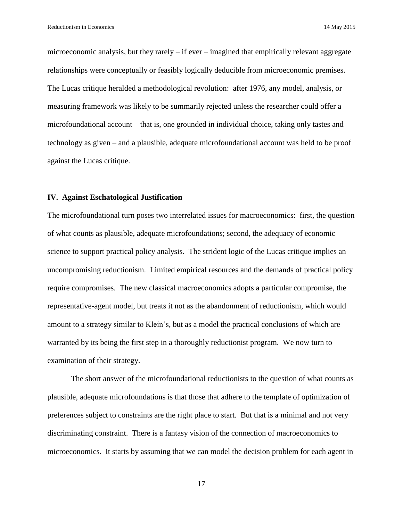microeconomic analysis, but they rarely – if ever – imagined that empirically relevant aggregate relationships were conceptually or feasibly logically deducible from microeconomic premises. The Lucas critique heralded a methodological revolution: after 1976, any model, analysis, or measuring framework was likely to be summarily rejected unless the researcher could offer a microfoundational account – that is, one grounded in individual choice, taking only tastes and technology as given – and a plausible, adequate microfoundational account was held to be proof against the Lucas critique.

## **IV. Against Eschatological Justification**

The microfoundational turn poses two interrelated issues for macroeconomics: first, the question of what counts as plausible, adequate microfoundations; second, the adequacy of economic science to support practical policy analysis. The strident logic of the Lucas critique implies an uncompromising reductionism. Limited empirical resources and the demands of practical policy require compromises. The new classical macroeconomics adopts a particular compromise, the representative-agent model, but treats it not as the abandonment of reductionism, which would amount to a strategy similar to Klein's, but as a model the practical conclusions of which are warranted by its being the first step in a thoroughly reductionist program. We now turn to examination of their strategy.

The short answer of the microfoundational reductionists to the question of what counts as plausible, adequate microfoundations is that those that adhere to the template of optimization of preferences subject to constraints are the right place to start. But that is a minimal and not very discriminating constraint. There is a fantasy vision of the connection of macroeconomics to microeconomics. It starts by assuming that we can model the decision problem for each agent in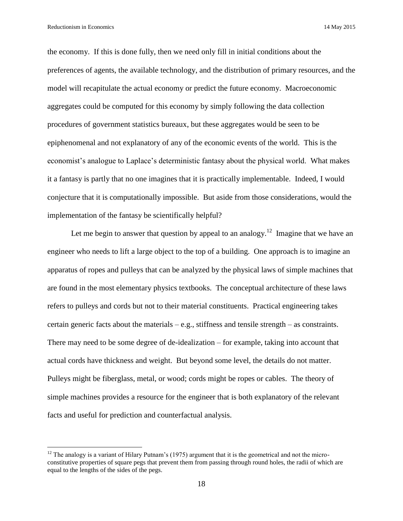the economy. If this is done fully, then we need only fill in initial conditions about the preferences of agents, the available technology, and the distribution of primary resources, and the model will recapitulate the actual economy or predict the future economy. Macroeconomic aggregates could be computed for this economy by simply following the data collection procedures of government statistics bureaux, but these aggregates would be seen to be epiphenomenal and not explanatory of any of the economic events of the world. This is the economist's analogue to Laplace's deterministic fantasy about the physical world. What makes it a fantasy is partly that no one imagines that it is practically implementable. Indeed, I would conjecture that it is computationally impossible. But aside from those considerations, would the implementation of the fantasy be scientifically helpful?

Let me begin to answer that question by appeal to an analogy.<sup>12</sup> Imagine that we have an engineer who needs to lift a large object to the top of a building. One approach is to imagine an apparatus of ropes and pulleys that can be analyzed by the physical laws of simple machines that are found in the most elementary physics textbooks. The conceptual architecture of these laws refers to pulleys and cords but not to their material constituents. Practical engineering takes certain generic facts about the materials – e.g., stiffness and tensile strength – as constraints. There may need to be some degree of de-idealization – for example, taking into account that actual cords have thickness and weight. But beyond some level, the details do not matter. Pulleys might be fiberglass, metal, or wood; cords might be ropes or cables. The theory of simple machines provides a resource for the engineer that is both explanatory of the relevant facts and useful for prediction and counterfactual analysis.

 $12$  The analogy is a variant of Hilary Putnam's (1975) argument that it is the geometrical and not the microconstitutive properties of square pegs that prevent them from passing through round holes, the radii of which are equal to the lengths of the sides of the pegs.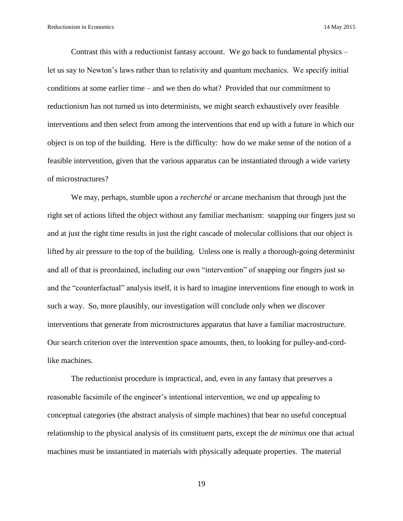Contrast this with a reductionist fantasy account. We go back to fundamental physics – let us say to Newton's laws rather than to relativity and quantum mechanics. We specify initial conditions at some earlier time – and we then do what? Provided that our commitment to reductionism has not turned us into determinists, we might search exhaustively over feasible interventions and then select from among the interventions that end up with a future in which our object is on top of the building. Here is the difficulty: how do we make sense of the notion of a feasible intervention, given that the various apparatus can be instantiated through a wide variety of microstructures?

We may, perhaps, stumble upon a *recherché* or arcane mechanism that through just the right set of actions lifted the object without any familiar mechanism: snapping our fingers just so and at just the right time results in just the right cascade of molecular collisions that our object is lifted by air pressure to the top of the building. Unless one is really a thorough-going determinist and all of that is preordained, including our own "intervention" of snapping our fingers just so and the "counterfactual" analysis itself, it is hard to imagine interventions fine enough to work in such a way. So, more plausibly, our investigation will conclude only when we discover interventions that generate from microstructures apparatus that have a familiar macrostructure. Our search criterion over the intervention space amounts, then, to looking for pulley-and-cordlike machines.

The reductionist procedure is impractical, and, even in any fantasy that preserves a reasonable facsimile of the engineer's intentional intervention, we end up appealing to conceptual categories (the abstract analysis of simple machines) that bear no useful conceptual relationship to the physical analysis of its constituent parts, except the *de minimus* one that actual machines must be instantiated in materials with physically adequate properties. The material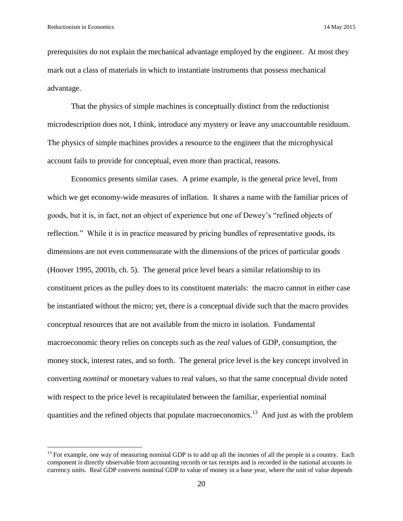prerequisites do not explain the mechanical advantage employed by the engineer. At most they mark out a class of materials in which to instantiate instruments that possess mechanical advantage.

That the physics of simple machines is conceptually distinct from the reductionist microdescription does not, I think, introduce any mystery or leave any unaccountable residuum. The physics of simple machines provides a resource to the engineer that the microphysical account fails to provide for conceptual, even more than practical, reasons.

Economics presents similar cases. A prime example, is the general price level, from which we get economy-wide measures of inflation. It shares a name with the familiar prices of goods, but it is, in fact, not an object of experience but one of Dewey's "refined objects of reflection." While it is in practice measured by pricing bundles of representative goods, its dimensions are not even commensurate with the dimensions of the prices of particular goods (Hoover 1995, 2001b, ch. 5). The general price level bears a similar relationship to its constituent prices as the pulley does to its constituent materials: the macro cannot in either case be instantiated without the micro; yet, there is a conceptual divide such that the macro provides conceptual resources that are not available from the micro in isolation. Fundamental macroeconomic theory relies on concepts such as the *real* values of GDP, consumption, the money stock, interest rates, and so forth. The general price level is the key concept involved in converting *nominal* or monetary values to real values, so that the same conceptual divide noted with respect to the price level is recapitulated between the familiar, experiential nominal quantities and the refined objects that populate macroeconomics.<sup>13</sup> And just as with the problem

 $<sup>13</sup>$  For example, one way of measuring nominal GDP is to add up all the incomes of all the people in a country. Each</sup> component is directly observable from accounting records or tax receipts and is recorded in the national accounts in currency units. Real GDP converts nominal GDP to value of money in a base year, where the unit of value depends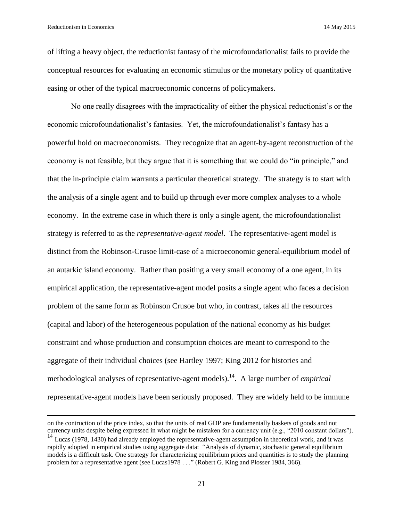of lifting a heavy object, the reductionist fantasy of the microfoundationalist fails to provide the conceptual resources for evaluating an economic stimulus or the monetary policy of quantitative easing or other of the typical macroeconomic concerns of policymakers.

No one really disagrees with the impracticality of either the physical reductionist's or the economic microfoundationalist's fantasies. Yet, the microfoundationalist's fantasy has a powerful hold on macroeconomists. They recognize that an agent-by-agent reconstruction of the economy is not feasible, but they argue that it is something that we could do "in principle," and that the in-principle claim warrants a particular theoretical strategy. The strategy is to start with the analysis of a single agent and to build up through ever more complex analyses to a whole economy. In the extreme case in which there is only a single agent, the microfoundationalist strategy is referred to as the *representative-agent model*. The representative-agent model is distinct from the Robinson-Crusoe limit-case of a microeconomic general-equilibrium model of an autarkic island economy. Rather than positing a very small economy of a one agent, in its empirical application, the representative-agent model posits a single agent who faces a decision problem of the same form as Robinson Crusoe but who, in contrast, takes all the resources (capital and labor) of the heterogeneous population of the national economy as his budget constraint and whose production and consumption choices are meant to correspond to the aggregate of their individual choices (see Hartley 1997; King 2012 for histories and methodological analyses of representative-agent models).<sup>14</sup>. A large number of *empirical* representative-agent models have been seriously proposed. They are widely held to be immune

on the contruction of the price index, so that the units of real GDP are fundamentally baskets of goods and not currency units despite being expressed in what might be mistaken for a currency unit (e.g., "2010 constant dollars"). <sup>14</sup> Lucas (1978, 1430) had already employed the representative-agent assumption in theoretical work, and it was rapidly adopted in empirical studies using aggregate data: "Analysis of dynamic, stochastic general equilibrium models is a difficult task. One strategy for characterizing equilibrium prices and quantities is to study the planning problem for a representative agent (see Lucas1978 . . ." (Robert G. King and Plosser 1984, 366).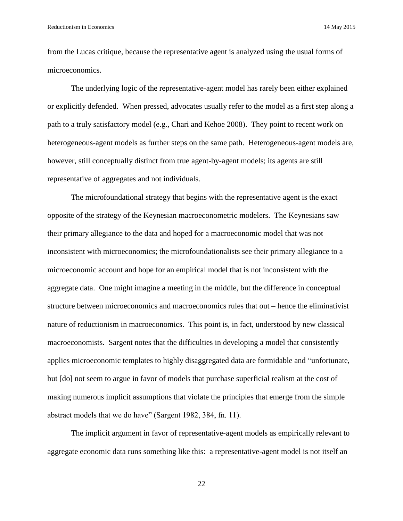from the Lucas critique, because the representative agent is analyzed using the usual forms of microeconomics.

The underlying logic of the representative-agent model has rarely been either explained or explicitly defended. When pressed, advocates usually refer to the model as a first step along a path to a truly satisfactory model (e.g., Chari and Kehoe 2008). They point to recent work on heterogeneous-agent models as further steps on the same path. Heterogeneous-agent models are, however, still conceptually distinct from true agent-by-agent models; its agents are still representative of aggregates and not individuals.

The microfoundational strategy that begins with the representative agent is the exact opposite of the strategy of the Keynesian macroeconometric modelers. The Keynesians saw their primary allegiance to the data and hoped for a macroeconomic model that was not inconsistent with microeconomics; the microfoundationalists see their primary allegiance to a microeconomic account and hope for an empirical model that is not inconsistent with the aggregate data. One might imagine a meeting in the middle, but the difference in conceptual structure between microeconomics and macroeconomics rules that out – hence the eliminativist nature of reductionism in macroeconomics. This point is, in fact, understood by new classical macroeconomists. Sargent notes that the difficulties in developing a model that consistently applies microeconomic templates to highly disaggregated data are formidable and "unfortunate, but [do] not seem to argue in favor of models that purchase superficial realism at the cost of making numerous implicit assumptions that violate the principles that emerge from the simple abstract models that we do have" (Sargent 1982, 384, fn. 11).

The implicit argument in favor of representative-agent models as empirically relevant to aggregate economic data runs something like this: a representative-agent model is not itself an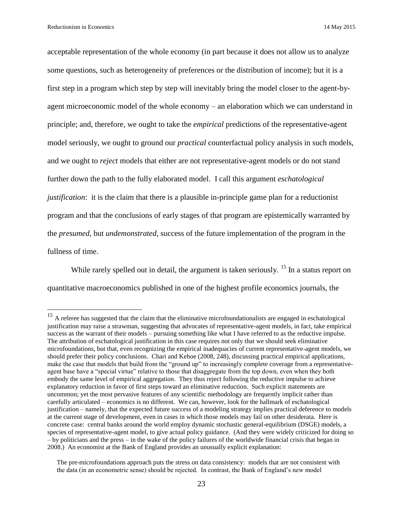acceptable representation of the whole economy (in part because it does not allow us to analyze some questions, such as heterogeneity of preferences or the distribution of income); but it is a first step in a program which step by step will inevitably bring the model closer to the agent-byagent microeconomic model of the whole economy – an elaboration which we can understand in principle; and, therefore, we ought to take the *empirical* predictions of the representative-agent model seriously, we ought to ground our *practical* counterfactual policy analysis in such models, and we ought to *reject* models that either are not representative-agent models or do not stand further down the path to the fully elaborated model. I call this argument *eschatological justification*: it is the claim that there is a plausible in-principle game plan for a reductionist program and that the conclusions of early stages of that program are epistemically warranted by the *presumed*, but *undemonstrated*, success of the future implementation of the program in the fullness of time.

While rarely spelled out in detail, the argument is taken seriously.  $15$  In a status report on quantitative macroeconomics published in one of the highest profile economics journals, the

 $15$  A referee has suggested that the claim that the eliminative microfoundationalists are engaged in eschatological justification may raise a strawman, suggesting that advocates of representative-agent models, in fact, take empirical success as the warrant of their models – pursuing something like what I have referred to as the reductive impulse. The attribution of eschatological justification in this case requires not only that we should seek eliminative microfoundations, but that, even recognizing the empirical inadequacies of current representative-agent models, we should prefer their policy conclusions. Chari and Kehoe (2008, 248), discussing practical empirical applications, make the case that models that build from the "ground up" to increasingly complete coverage from a representativeagent base have a "special virtue" relative to those that disaggregate from the top down, even when they both embody the same level of empirical aggregation. They thus reject following the reductive impulse to achieve explanatory reduction in favor of first steps toward an eliminative reduction. Such explicit statements are uncommon; yet the most pervasive features of any scientific methodology are frequently implicit rather than carefully articulated – economics is no different. We can, however, look for the hallmark of eschatological justification – namely, that the expected future success of a modeling strategy implies practical deference to models at the current stage of development, even in cases in which those models may fail on other desiderata. Here is concrete case: central banks around the world employ dynamic stochastic general-equilibrium (DSGE) models, a species of representative-agent model, to give actual policy guidance. (And they were widely criticized for doing so – by politicians and the press – in the wake of the policy failures of the worldwide financial crisis that began in 2008.) An economist at the Bank of England provides an unusually explicit explanation:

The pre-microfoundations approach puts the stress on data consistency: models that are not consistent with the data (in an econometric sense) should be rejected. In contrast, the Bank of England's new model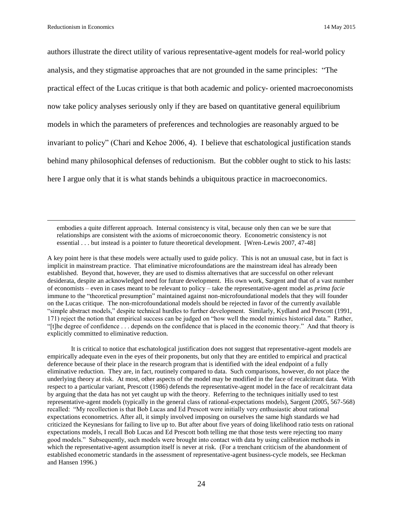authors illustrate the direct utility of various representative-agent models for real-world policy analysis, and they stigmatise approaches that are not grounded in the same principles: "The practical effect of the Lucas critique is that both academic and policy- oriented macroeconomists now take policy analyses seriously only if they are based on quantitative general equilibrium models in which the parameters of preferences and technologies are reasonably argued to be invariant to policy" (Chari and Kehoe 2006, 4). I believe that eschatological justification stands behind many philosophical defenses of reductionism. But the cobbler ought to stick to his lasts: here I argue only that it is what stands behinds a ubiquitous practice in macroeconomics.

embodies a quite different approach. Internal consistency is vital, because only then can we be sure that relationships are consistent with the axioms of microeconomic theory. Econometric consistency is not essential . . . but instead is a pointer to future theoretical development. [Wren-Lewis 2007, 47-48]

A key point here is that these models were actually used to guide policy. This is not an unusual case, but in fact is implicit in mainstream practice. That eliminative microfoundations are the mainstream ideal has already been established. Beyond that, however, they are used to dismiss alternatives that are successful on other relevant desiderata, despite an acknowledged need for future development. His own work, Sargent and that of a vast number of economists – even in cases meant to be relevant to policy – take the representative-agent model as *prima facie* immune to the "theoretical presumption" maintained against non-microfoundational models that they will founder on the Lucas critique. The non-microfoundational models should be rejected in favor of the currently available "simple abstract models," despite technical hurdles to further development. Similarly, Kydland and Prescott (1991, 171) reject the notion that empirical success can be judged on "how well the model mimics historical data." Rather, "[t]he degree of confidence . . . depends on the confidence that is placed in the economic theory." And that theory is explicitly committed to eliminative reduction.

It is critical to notice that eschatological justification does not suggest that representative-agent models are empirically adequate even in the eyes of their proponents, but only that they are entitled to empirical and practical deference because of their place in the research program that is identified with the ideal endpoint of a fully eliminative reduction. They are, in fact, routinely compared to data. Such comparisons, however, do not place the underlying theory at risk. At most, other aspects of the model may be modified in the face of recalcitrant data. With respect to a particular variant, Prescott (1986) defends the representative-agent model in the face of recalcitrant data by arguing that the data has not yet caught up with the theory. Referring to the techniques initially used to test representative-agent models (typically in the general class of rational-expectations models), Sargent (2005, 567-568) recalled: "My recollection is that Bob Lucas and Ed Prescott were initially very enthusiastic about rational expectations econometrics. After all, it simply involved imposing on ourselves the same high standards we had criticized the Keynesians for failing to live up to. But after about five years of doing likelihood ratio tests on rational expectations models, I recall Bob Lucas and Ed Prescott both telling me that those tests were rejecting too many good models." Subsequently, such models were brought into contact with data by using calibration methods in which the representative-agent assumption itself is never at risk. (For a trenchant criticism of the abandonment of established econometric standards in the assessment of representative-agent business-cycle models, see Heckman and Hansen 1996.)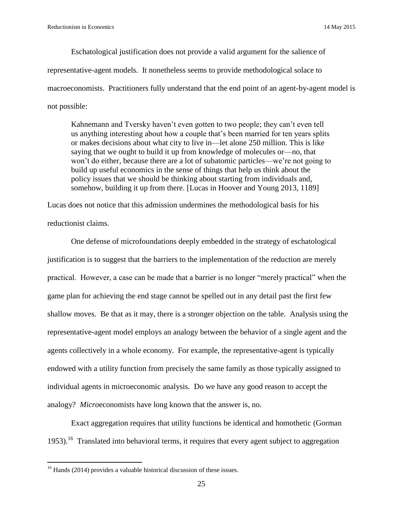Eschatological justification does not provide a valid argument for the salience of representative-agent models. It nonetheless seems to provide methodological solace to macroeconomists. Practitioners fully understand that the end point of an agent-by-agent model is not possible:

Kahnemann and Tversky haven't even gotten to two people; they can't even tell us anything interesting about how a couple that's been married for ten years splits or makes decisions about what city to live in—let alone 250 million. This is like saying that we ought to build it up from knowledge of molecules or—no, that won't do either, because there are a lot of subatomic particles—we're not going to build up useful economics in the sense of things that help us think about the policy issues that we should be thinking about starting from individuals and, somehow, building it up from there. [Lucas in Hoover and Young 2013, 1189]

Lucas does not notice that this admission undermines the methodological basis for his reductionist claims.

One defense of microfoundations deeply embedded in the strategy of eschatological justification is to suggest that the barriers to the implementation of the reduction are merely practical. However, a case can be made that a barrier is no longer "merely practical" when the game plan for achieving the end stage cannot be spelled out in any detail past the first few shallow moves. Be that as it may, there is a stronger objection on the table. Analysis using the representative-agent model employs an analogy between the behavior of a single agent and the agents collectively in a whole economy. For example, the representative-agent is typically endowed with a utility function from precisely the same family as those typically assigned to individual agents in microeconomic analysis. Do we have any good reason to accept the analogy? *Micro*economists have long known that the answer is, no.

Exact aggregation requires that utility functions be identical and homothetic (Gorman 1953).<sup>16</sup> Translated into behavioral terms, it requires that every agent subject to aggregation

 $\overline{a}$ 

 $16$  Hands (2014) provides a valuable historical discussion of these issues.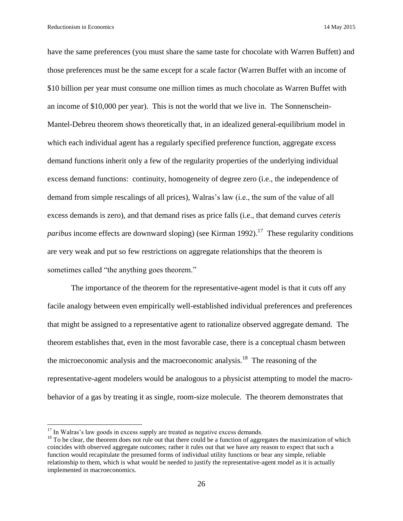have the same preferences (you must share the same taste for chocolate with Warren Buffett) and those preferences must be the same except for a scale factor (Warren Buffet with an income of \$10 billion per year must consume one million times as much chocolate as Warren Buffet with an income of \$10,000 per year). This is not the world that we live in. The Sonnenschein-Mantel-Debreu theorem shows theoretically that, in an idealized general-equilibrium model in which each individual agent has a regularly specified preference function, aggregate excess demand functions inherit only a few of the regularity properties of the underlying individual excess demand functions: continuity, homogeneity of degree zero (i.e., the independence of demand from simple rescalings of all prices), Walras's law (i.e., the sum of the value of all excess demands is zero), and that demand rises as price falls (i.e., that demand curves *ceteris*  paribus income effects are downward sloping) (see Kirman 1992).<sup>17</sup> These regularity conditions are very weak and put so few restrictions on aggregate relationships that the theorem is sometimes called "the anything goes theorem."

The importance of the theorem for the representative-agent model is that it cuts off any facile analogy between even empirically well-established individual preferences and preferences that might be assigned to a representative agent to rationalize observed aggregate demand. The theorem establishes that, even in the most favorable case, there is a conceptual chasm between the microeconomic analysis and the macroeconomic analysis.<sup>18</sup> The reasoning of the representative-agent modelers would be analogous to a physicist attempting to model the macrobehavior of a gas by treating it as single, room-size molecule. The theorem demonstrates that

 $\overline{a}$ 

 $17$  In Walras's law goods in excess supply are treated as negative excess demands.

 $18$  To be clear, the theorem does not rule out that there could be a function of aggregates the maximization of which coincides with observed aggregate outcomes; rather it rules out that we have any reason to expect that such a function would recapitulate the presumed forms of individual utility functions or bear any simple, reliable relationship to them, which is what would be needed to justify the representative-agent model as it is actually implemented in macroeconomics.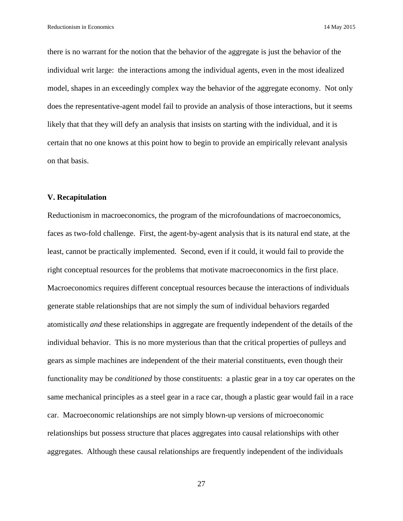there is no warrant for the notion that the behavior of the aggregate is just the behavior of the individual writ large: the interactions among the individual agents, even in the most idealized model, shapes in an exceedingly complex way the behavior of the aggregate economy. Not only does the representative-agent model fail to provide an analysis of those interactions, but it seems likely that that they will defy an analysis that insists on starting with the individual, and it is certain that no one knows at this point how to begin to provide an empirically relevant analysis on that basis.

# **V. Recapitulation**

Reductionism in macroeconomics, the program of the microfoundations of macroeconomics, faces as two-fold challenge. First, the agent-by-agent analysis that is its natural end state, at the least, cannot be practically implemented. Second, even if it could, it would fail to provide the right conceptual resources for the problems that motivate macroeconomics in the first place. Macroeconomics requires different conceptual resources because the interactions of individuals generate stable relationships that are not simply the sum of individual behaviors regarded atomistically *and* these relationships in aggregate are frequently independent of the details of the individual behavior. This is no more mysterious than that the critical properties of pulleys and gears as simple machines are independent of the their material constituents, even though their functionality may be *conditioned* by those constituents: a plastic gear in a toy car operates on the same mechanical principles as a steel gear in a race car, though a plastic gear would fail in a race car. Macroeconomic relationships are not simply blown-up versions of microeconomic relationships but possess structure that places aggregates into causal relationships with other aggregates. Although these causal relationships are frequently independent of the individuals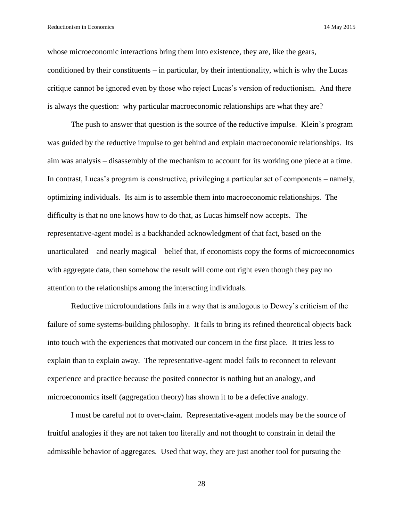whose microeconomic interactions bring them into existence, they are, like the gears, conditioned by their constituents – in particular, by their intentionality, which is why the Lucas critique cannot be ignored even by those who reject Lucas's version of reductionism. And there is always the question: why particular macroeconomic relationships are what they are?

The push to answer that question is the source of the reductive impulse. Klein's program was guided by the reductive impulse to get behind and explain macroeconomic relationships. Its aim was analysis – disassembly of the mechanism to account for its working one piece at a time. In contrast, Lucas's program is constructive, privileging a particular set of components – namely, optimizing individuals. Its aim is to assemble them into macroeconomic relationships. The difficulty is that no one knows how to do that, as Lucas himself now accepts. The representative-agent model is a backhanded acknowledgment of that fact, based on the unarticulated – and nearly magical – belief that, if economists copy the forms of microeconomics with aggregate data, then somehow the result will come out right even though they pay no attention to the relationships among the interacting individuals.

Reductive microfoundations fails in a way that is analogous to Dewey's criticism of the failure of some systems-building philosophy. It fails to bring its refined theoretical objects back into touch with the experiences that motivated our concern in the first place. It tries less to explain than to explain away. The representative-agent model fails to reconnect to relevant experience and practice because the posited connector is nothing but an analogy, and microeconomics itself (aggregation theory) has shown it to be a defective analogy.

I must be careful not to over-claim. Representative-agent models may be the source of fruitful analogies if they are not taken too literally and not thought to constrain in detail the admissible behavior of aggregates. Used that way, they are just another tool for pursuing the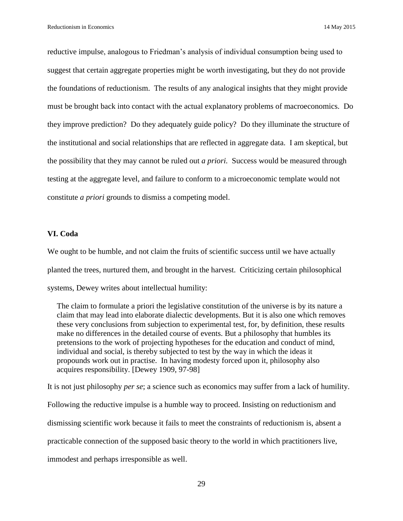reductive impulse, analogous to Friedman's analysis of individual consumption being used to suggest that certain aggregate properties might be worth investigating, but they do not provide the foundations of reductionism. The results of any analogical insights that they might provide must be brought back into contact with the actual explanatory problems of macroeconomics. Do they improve prediction? Do they adequately guide policy? Do they illuminate the structure of the institutional and social relationships that are reflected in aggregate data. I am skeptical, but the possibility that they may cannot be ruled out *a priori.* Success would be measured through testing at the aggregate level, and failure to conform to a microeconomic template would not constitute *a priori* grounds to dismiss a competing model.

## **VI. Coda**

We ought to be humble, and not claim the fruits of scientific success until we have actually planted the trees, nurtured them, and brought in the harvest. Criticizing certain philosophical systems, Dewey writes about intellectual humility:

The claim to formulate a priori the legislative constitution of the universe is by its nature a claim that may lead into elaborate dialectic developments. But it is also one which removes these very conclusions from subjection to experimental test, for, by definition, these results make no differences in the detailed course of events. But a philosophy that humbles its pretensions to the work of projecting hypotheses for the education and conduct of mind, individual and social, is thereby subjected to test by the way in which the ideas it propounds work out in practise. In having modesty forced upon it, philosophy also acquires responsibility. [Dewey 1909, 97-98]

It is not just philosophy *per se*; a science such as economics may suffer from a lack of humility.

Following the reductive impulse is a humble way to proceed. Insisting on reductionism and

dismissing scientific work because it fails to meet the constraints of reductionism is, absent a

practicable connection of the supposed basic theory to the world in which practitioners live,

immodest and perhaps irresponsible as well.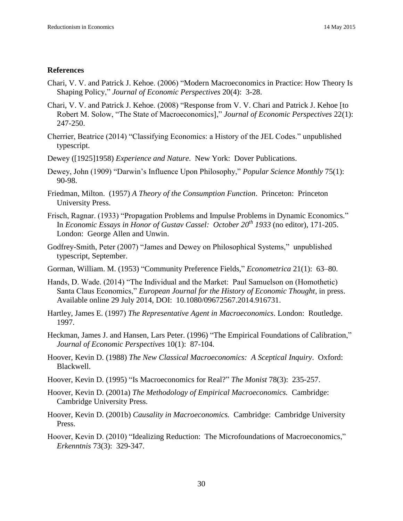## **References**

- Chari, V. V. and Patrick J. Kehoe. (2006) "Modern Macroeconomics in Practice: How Theory Is Shaping Policy," *Journal of Economic Perspectives* 20(4): 3-28.
- Chari, V. V. and Patrick J. Kehoe. (2008) "Response from V. V. Chari and Patrick J. Kehoe [to Robert M. Solow, "The State of Macroeconomics]," *Journal of Economic Perspectives* 22(1): 247-250.
- Cherrier, Beatrice (2014) "Classifying Economics: a History of the JEL Codes." unpublished typescript.
- Dewey ([1925]1958) *Experience and Nature*. New York: Dover Publications.
- Dewey, John (1909) "Darwin's Influence Upon Philosophy," *Popular Science Monthly* 75(1): 90-98.
- Friedman, Milton. (1957) *A Theory of the Consumption Function*. Princeton: Princeton University Press.
- Frisch, Ragnar. (1933) "Propagation Problems and Impulse Problems in Dynamic Economics." In *Economic Essays in Honor of Gustav Cassel: October 20th 1933* (no editor), 171-205. London: George Allen and Unwin.
- Godfrey-Smith, Peter (2007) "James and Dewey on Philosophical Systems," unpublished typescript, September.
- Gorman, William. M. (1953) "Community Preference Fields," *Econometrica* 21(1): 63–80.
- Hands, D. Wade. (2014) "The Individual and the Market: Paul Samuelson on (Homothetic) Santa Claus Economics," *European Journal for the History of Economic Thought*, in press. Available online 29 July 2014, DOI: 10.1080/09672567.2014.916731.
- Hartley, James E. (1997) *The Representative Agent in Macroeconomics*. London: Routledge. 1997.
- Heckman, James J. and Hansen, Lars Peter. (1996) "The Empirical Foundations of Calibration," *Journal of Economic Perspectives* 10(1): 87-104.
- Hoover, Kevin D. (1988) *The New Classical Macroeconomics: A Sceptical Inquiry*. Oxford: Blackwell.
- Hoover, Kevin D. (1995) "Is Macroeconomics for Real?" *The Monist* 78(3): 235-257.
- Hoover, Kevin D. (2001a) *The Methodology of Empirical Macroeconomics.* Cambridge: Cambridge University Press.
- Hoover, Kevin D. (2001b) *Causality in Macroeconomics.* Cambridge: Cambridge University Press.
- Hoover, Kevin D. (2010) "Idealizing Reduction: The Microfoundations of Macroeconomics," *Erkenntnis* 73(3): 329-347.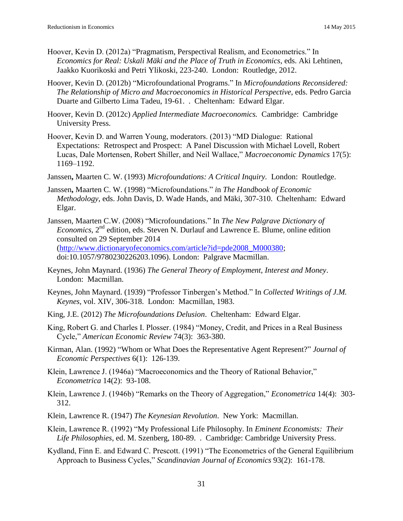- Hoover, Kevin D. (2012a) "Pragmatism, Perspectival Realism, and Econometrics." In *Economics for Real: Uskali Mäki and the Place of Truth in Economics*, eds. Aki Lehtinen, Jaakko Kuorikoski and Petri Ylikoski, 223-240. London: Routledge, 2012.
- Hoover, Kevin D. (2012b) "Microfoundational Programs." In *Microfoundations Reconsidered: The Relationship of Micro and Macroeconomics in Historical Perspective*, eds. Pedro Garcia Duarte and Gilberto Lima Tadeu, 19-61. . Cheltenham: Edward Elgar.
- Hoover, Kevin D. (2012c) *Applied Intermediate Macroeconomics.* Cambridge: Cambridge University Press.
- Hoover, Kevin D. and Warren Young, moderators. (2013) "MD Dialogue: Rational Expectations: Retrospect and Prospect: A Panel Discussion with Michael Lovell, Robert Lucas, Dale Mortensen, Robert Shiller, and Neil Wallace," *Macroeconomic Dynamics* 17(5): 1169–1192.
- Janssen**,** Maarten C. W. (1993) *Microfoundations: A Critical Inquiry.* London: Routledge.
- Janssen**,** Maarten C. W. (1998) "Microfoundations." *i*n *The Handbook of Economic Methodology*, eds. John Davis, D. Wade Hands, and Mäki, 307-310. Cheltenham: Edward Elgar.
- Janssen, Maarten C.W. (2008) "Microfoundations." In *The New Palgrave Dictionary of Economics*,  $2^{nd}$  edition, eds. Steven N. Durlauf and Lawrence E. Blume, online edition consulted on 29 September 2014 [\(http://www.dictionaryofeconomics.com/article?id=pde2008\\_M000380;](http://www.dictionaryofeconomics.com/article?id=pde2008_M000380) doi:10.1057/9780230226203.1096). London: Palgrave Macmillan.
- Keynes, John Maynard. (1936) *The General Theory of Employment, Interest and Money*. London: Macmillan.
- Keynes, John Maynard. (1939) "Professor Tinbergen's Method." In *Collected Writings of J.M. Keynes*, vol. XIV, 306-318. London: Macmillan, 1983.
- King, J.E. (2012) *The Microfoundations Delusion*. Cheltenham: Edward Elgar.
- King, Robert G. and Charles I. Plosser. (1984) "Money, Credit, and Prices in a Real Business Cycle," *American Economic Review* 74(3): 363-380.
- Kirman, Alan. (1992) "Whom or What Does the Representative Agent Represent?" *Journal of Economic Perspectives* 6(1): 126-139.
- Klein, Lawrence J. (1946a) "Macroeconomics and the Theory of Rational Behavior," *Econometrica* 14(2): 93-108.
- Klein, Lawrence J. (1946b) "Remarks on the Theory of Aggregation," *Econometrica* 14(4): 303- 312.
- Klein, Lawrence R. (1947) *The Keynesian Revolution*. New York: Macmillan.
- Klein, Lawrence R. (1992) "My Professional Life Philosophy. In *Eminent Economists: Their Life Philosophies*, ed. M. Szenberg, 180-89. . Cambridge: Cambridge University Press.
- Kydland, Finn E. and Edward C. Prescott. (1991) "The Econometrics of the General Equilibrium Approach to Business Cycles," *Scandinavian Journal of Economics* 93(2): 161-178.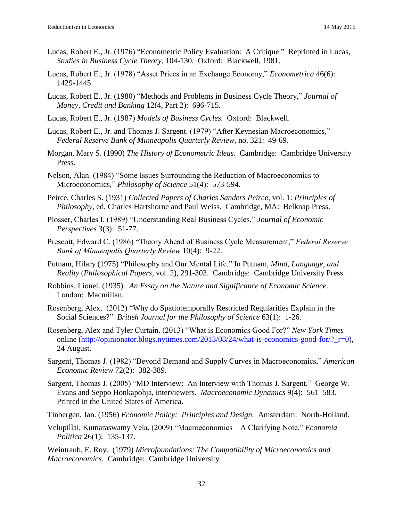- Lucas, Robert E., Jr. (1976) "Econometric Policy Evaluation: A Critique." Reprinted in Lucas, *Studies in Business Cycle Theory*, 104-130*.* Oxford: Blackwell, 1981.
- Lucas, Robert E., Jr. (1978) "Asset Prices in an Exchange Economy," *Econometrica* 46(6): 1429-1445.
- Lucas, Robert E., Jr. (1980) "Methods and Problems in Business Cycle Theory," *Journal of Money, Credit and Banking* 12(4, Part 2): 696-715.
- Lucas, Robert E., Jr. (1987) *Models of Business Cycles.* Oxford: Blackwell.
- Lucas, Robert E., Jr. and Thomas J. Sargent. (1979) "After Keynesian Macroeconomics," *Federal Reserve Bank of Minneapolis Quarterly Review*, no. 321: 49-69.
- Morgan, Mary S. (1990) *The History of Econometric Ideas*. Cambridge: Cambridge University Press.
- Nelson, Alan. (1984) "Some Issues Surrounding the Reduction of Macroeconomics to Microeconomics," *Philosophy of Science* 51(4): 573-594.
- Peirce, Charles S. (1931) *Collected Papers of Charles Sanders Peirce*, vol. 1: *Principles of Philosophy*, ed. Charles Hartshorne and Paul Weiss. Cambridge, MA: Belknap Press.
- Plosser, Charles I. (1989) "Understanding Real Business Cycles," *Journal of Economic Perspectives* 3(3): 51-77.
- Prescott, Edward C. (1986) "Theory Ahead of Business Cycle Measurement," *Federal Reserve Bank of Minneapolis Quarterly Review* 10(4): 9-22.
- Putnam, Hilary (1975) "Philosophy and Our Mental Life." In Putnam, *Mind, Language, and Reality* (*Philosophical Papers*, vol. 2), 291-303. Cambridge: Cambridge University Press.
- Robbins, Lionel. (1935). *An Essay on the Nature and Significance of Economic Science*. London: Macmillan.
- Rosenberg, Alex. (2012) "Why do Spatiotemporally Restricted Regularities Explain in the Social Sciences?" *British Journal for the Philosophy of Science* 63(1): 1-26.
- Rosenberg, Alex and Tyler Curtain. (2013) "What is Economics Good For?" *New York Times* online [\(http://opinionator.blogs.nytimes.com/2013/08/24/what-is-economics-good-for/?\\_r=0\)](http://opinionator.blogs.nytimes.com/2013/08/24/what-is-economics-good-for/?_r=0), 24 August.
- Sargent, Thomas J. (1982) "Beyond Demand and Supply Curves in Macroeconomics," *American Economic Review* 72(2): 382-389.
- Sargent, Thomas J. (2005) "MD Interview: An Interview with Thomas J. Sargent," George W. Evans and Seppo Honkapohja, interviewers. *Macroeconomic Dynamics* 9(4): 561–583. Printed in the United States of America.
- Tinbergen, Jan. (1956) *Economic Policy: Principles and Design.* Amsterdam: North-Holland.
- Velupillai, Kumaraswamy Vela. (2009) "Macroeconomics A Clarifying Note," *Economia Politica* 26(1): 135-137.

Weintraub, E. Roy. (1979) *Microfoundations: The Compatibility of Microeconomics and Macroeconomics*. Cambridge: Cambridge University